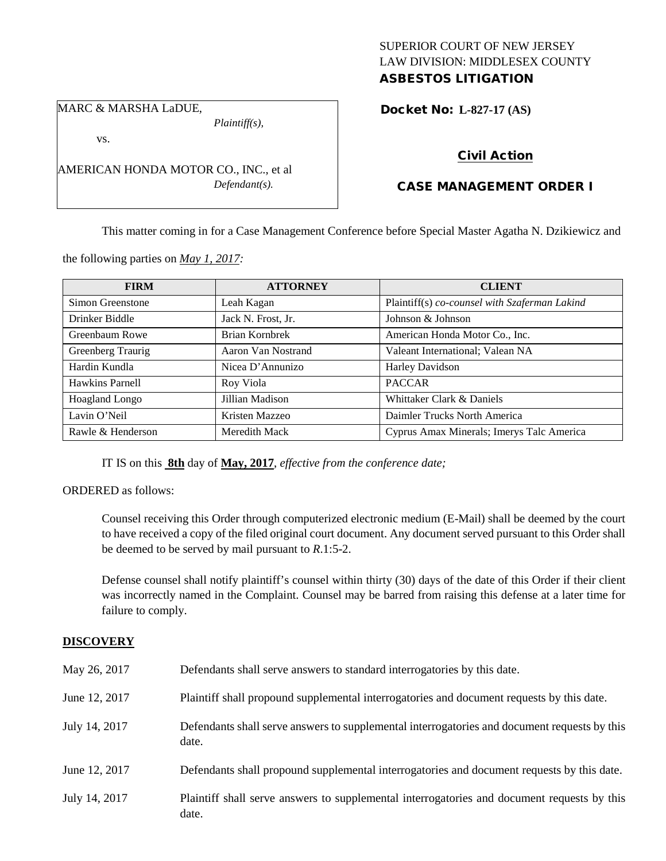## SUPERIOR COURT OF NEW JERSEY LAW DIVISION: MIDDLESEX COUNTY ASBESTOS LITIGATION

MARC & MARSHA LaDUE,

*Plaintiff(s),*

vs.

AMERICAN HONDA MOTOR CO., INC., et al *Defendant(s).*

# Docket No: **L-827-17 (AS)**

## Civil Action

## CASE MANAGEMENT ORDER I

This matter coming in for a Case Management Conference before Special Master Agatha N. Dzikiewicz and

the following parties on *May 1, 2017:*

| <b>FIRM</b>       | <b>ATTORNEY</b>    | <b>CLIENT</b>                                 |
|-------------------|--------------------|-----------------------------------------------|
| Simon Greenstone  | Leah Kagan         | Plaintiff(s) co-counsel with Szaferman Lakind |
| Drinker Biddle    | Jack N. Frost, Jr. | Johnson & Johnson                             |
| Greenbaum Rowe    | Brian Kornbrek     | American Honda Motor Co., Inc.                |
| Greenberg Traurig | Aaron Van Nostrand | Valeant International; Valean NA              |
| Hardin Kundla     | Nicea D'Annunizo   | Harley Davidson                               |
| Hawkins Parnell   | Roy Viola          | <b>PACCAR</b>                                 |
| Hoagland Longo    | Jillian Madison    | Whittaker Clark & Daniels                     |
| Lavin O'Neil      | Kristen Mazzeo     | Daimler Trucks North America                  |
| Rawle & Henderson | Meredith Mack      | Cyprus Amax Minerals; Imerys Talc America     |

IT IS on this **8th** day of **May, 2017**, *effective from the conference date;*

ORDERED as follows:

Counsel receiving this Order through computerized electronic medium (E-Mail) shall be deemed by the court to have received a copy of the filed original court document. Any document served pursuant to this Order shall be deemed to be served by mail pursuant to *R*.1:5-2.

Defense counsel shall notify plaintiff's counsel within thirty (30) days of the date of this Order if their client was incorrectly named in the Complaint. Counsel may be barred from raising this defense at a later time for failure to comply.

### **DISCOVERY**

| May 26, 2017  | Defendants shall serve answers to standard interrogatories by this date.                              |
|---------------|-------------------------------------------------------------------------------------------------------|
| June 12, 2017 | Plaintiff shall propound supplemental interrogatories and document requests by this date.             |
| July 14, 2017 | Defendants shall serve answers to supplemental interrogatories and document requests by this<br>date. |
| June 12, 2017 | Defendants shall propound supplemental interrogatories and document requests by this date.            |
| July 14, 2017 | Plaintiff shall serve answers to supplemental interrogatories and document requests by this<br>date.  |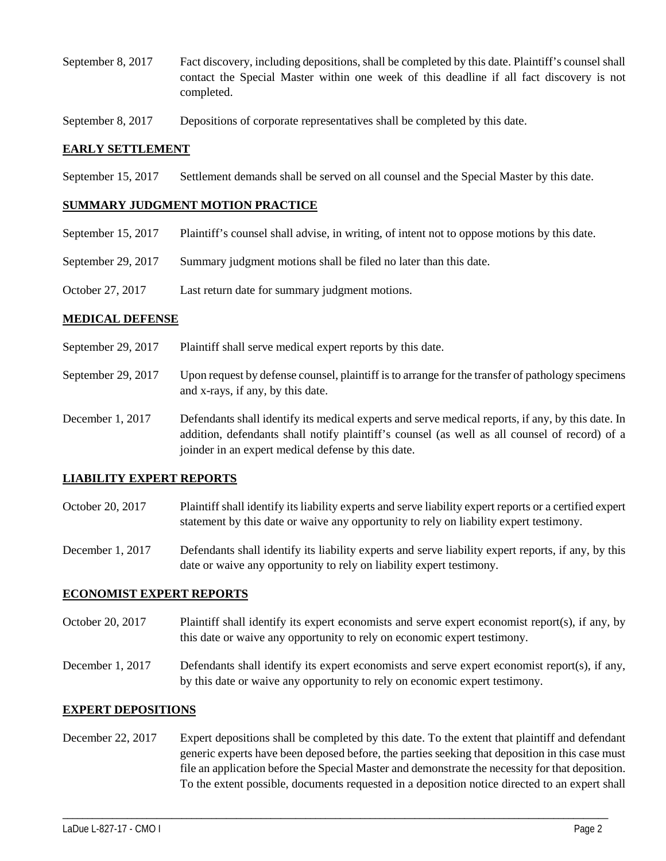- September 8, 2017 Fact discovery, including depositions, shall be completed by this date. Plaintiff's counsel shall contact the Special Master within one week of this deadline if all fact discovery is not completed.
- September 8, 2017 Depositions of corporate representatives shall be completed by this date.

### **EARLY SETTLEMENT**

September 15, 2017 Settlement demands shall be served on all counsel and the Special Master by this date.

#### **SUMMARY JUDGMENT MOTION PRACTICE**

- September 15, 2017 Plaintiff's counsel shall advise, in writing, of intent not to oppose motions by this date.
- September 29, 2017 Summary judgment motions shall be filed no later than this date.
- October 27, 2017 Last return date for summary judgment motions.

#### **MEDICAL DEFENSE**

- September 29, 2017 Plaintiff shall serve medical expert reports by this date.
- September 29, 2017 Upon request by defense counsel, plaintiff is to arrange for the transfer of pathology specimens and x-rays, if any, by this date.
- December 1, 2017 Defendants shall identify its medical experts and serve medical reports, if any, by this date. In addition, defendants shall notify plaintiff's counsel (as well as all counsel of record) of a joinder in an expert medical defense by this date.

### **LIABILITY EXPERT REPORTS**

- October 20, 2017 Plaintiff shall identify its liability experts and serve liability expert reports or a certified expert statement by this date or waive any opportunity to rely on liability expert testimony.
- December 1, 2017 Defendants shall identify its liability experts and serve liability expert reports, if any, by this date or waive any opportunity to rely on liability expert testimony.

#### **ECONOMIST EXPERT REPORTS**

- October 20, 2017 Plaintiff shall identify its expert economists and serve expert economist report(s), if any, by this date or waive any opportunity to rely on economic expert testimony.
- December 1, 2017 Defendants shall identify its expert economists and serve expert economist report(s), if any, by this date or waive any opportunity to rely on economic expert testimony.

### **EXPERT DEPOSITIONS**

December 22, 2017 Expert depositions shall be completed by this date. To the extent that plaintiff and defendant generic experts have been deposed before, the parties seeking that deposition in this case must file an application before the Special Master and demonstrate the necessity for that deposition. To the extent possible, documents requested in a deposition notice directed to an expert shall

\_\_\_\_\_\_\_\_\_\_\_\_\_\_\_\_\_\_\_\_\_\_\_\_\_\_\_\_\_\_\_\_\_\_\_\_\_\_\_\_\_\_\_\_\_\_\_\_\_\_\_\_\_\_\_\_\_\_\_\_\_\_\_\_\_\_\_\_\_\_\_\_\_\_\_\_\_\_\_\_\_\_\_\_\_\_\_\_\_\_\_\_\_\_\_\_\_\_\_\_\_\_\_\_\_\_\_\_\_\_